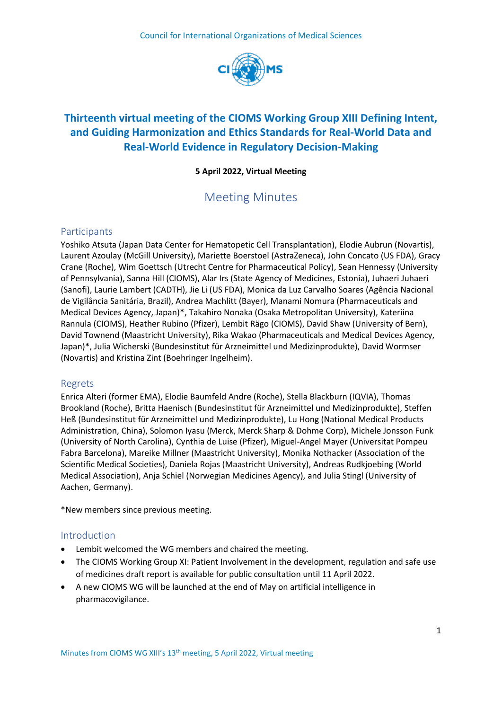

# **Thirteenth virtual meeting of the CIOMS Working Group XIII Defining Intent, and Guiding Harmonization and Ethics Standards for Real-World Data and Real-World Evidence in Regulatory Decision-Making**

## **5 April 2022, Virtual Meeting**

# Meeting Minutes

## **Participants**

Yoshiko Atsuta (Japan Data Center for Hematopetic Cell Transplantation), Elodie Aubrun (Novartis), Laurent Azoulay (McGill University), Mariette Boerstoel (AstraZeneca), John Concato (US FDA), Gracy Crane (Roche), Wim Goettsch (Utrecht Centre for Pharmaceutical Policy), Sean Hennessy (University of Pennsylvania), Sanna Hill (CIOMS), Alar Irs (State Agency of Medicines, Estonia), Juhaeri Juhaeri (Sanofi), Laurie Lambert (CADTH), Jie Li (US FDA), Monica da Luz Carvalho Soares (Agência Nacional de Vigilância Sanitária, Brazil), Andrea Machlitt (Bayer), Manami Nomura (Pharmaceuticals and Medical Devices Agency, Japan)\*, Takahiro Nonaka (Osaka Metropolitan University), Kateriina Rannula (CIOMS), Heather Rubino (Pfizer), Lembit Rägo (CIOMS), David Shaw (University of Bern), David Townend (Maastricht University), Rika Wakao (Pharmaceuticals and Medical Devices Agency, Japan)\*, Julia Wicherski (Bundesinstitut für Arzneimittel und Medizinprodukte), David Wormser (Novartis) and Kristina Zint (Boehringer Ingelheim).

## Regrets

Enrica Alteri (former EMA), Elodie Baumfeld Andre (Roche), Stella Blackburn (IQVIA), Thomas Brookland (Roche), Britta Haenisch (Bundesinstitut für Arzneimittel und Medizinprodukte), Steffen Heß (Bundesinstitut für Arzneimittel und Medizinprodukte), Lu Hong (National Medical Products Administration, China), Solomon Iyasu (Merck, Merck Sharp & Dohme Corp), Michele Jonsson Funk (University of North Carolina), Cynthia de Luise (Pfizer), Miguel-Angel Mayer (Universitat Pompeu Fabra Barcelona), Mareike Millner (Maastricht University), Monika Nothacker (Association of the Scientific Medical Societies), Daniela Rojas (Maastricht University), Andreas Rudkjoebing (World Medical Association), Anja Schiel (Norwegian Medicines Agency), and Julia Stingl (University of Aachen, Germany).

\*New members since previous meeting.

## Introduction

- Lembit welcomed the WG members and chaired the meeting.
- The [CIOMS Working Group XI: Patient Involvement in the development, regulation and safe use](https://cioms.ch/working-groups/working-group-xi-patient-involvement/)  [of medicines](https://cioms.ch/working-groups/working-group-xi-patient-involvement/) draft report is available for public consultation until 11 April 2022.
- A new CIOMS WG will be launched at the end of May on artificial intelligence in pharmacovigilance.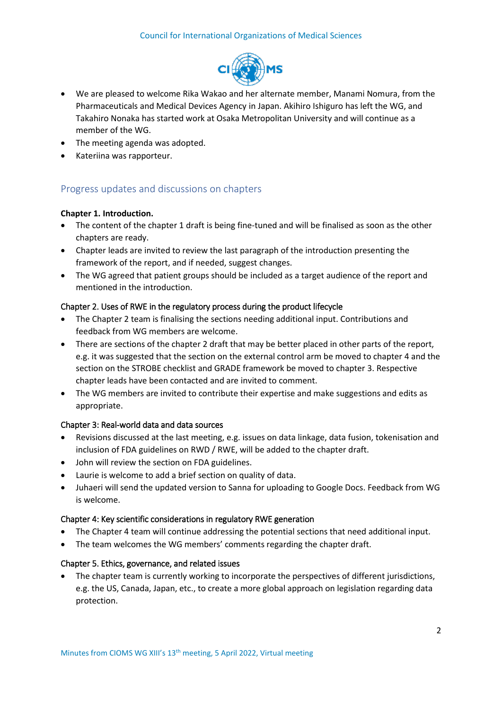#### Council for International Organizations of Medical Sciences



- We are pleased to welcome Rika Wakao and her alternate member, Manami Nomura, from the Pharmaceuticals and Medical Devices Agency in Japan. Akihiro Ishiguro has left the WG, and Takahiro Nonaka has started work at Osaka Metropolitan University and will continue as a member of the WG.
- The meeting agenda was adopted.
- Kateriina was rapporteur.

## Progress updates and discussions on chapters

#### **Chapter 1. Introduction.**

- The content of the chapter 1 draft is being fine-tuned and will be finalised as soon as the other chapters are ready.
- Chapter leads are invited to review the last paragraph of the introduction presenting the framework of the report, and if needed, suggest changes.
- The WG agreed that patient groups should be included as a target audience of the report and mentioned in the introduction.

#### Chapter 2. Uses of RWE in the regulatory process during the product lifecycle

- The Chapter 2 team is finalising the sections needing additional input. Contributions and feedback from WG members are welcome.
- There are sections of the chapter 2 draft that may be better placed in other parts of the report, e.g. it was suggested that the section on the external control arm be moved to chapter 4 and the section on the STROBE checklist and GRADE framework be moved to chapter 3. Respective chapter leads have been contacted and are invited to comment.
- The WG members are invited to contribute their expertise and make suggestions and edits as appropriate.

#### Chapter 3: Real-world data and data sources

- Revisions discussed at the last meeting, e.g. issues on data linkage, data fusion, tokenisation and inclusion of FDA guidelines on RWD / RWE, will be added to the chapter draft.
- John will review the section on FDA guidelines.
- Laurie is welcome to add a brief section on quality of data.
- Juhaeri will send the updated version to Sanna for uploading to Google Docs. Feedback from WG is welcome.

#### Chapter 4: Key scientific considerations in regulatory RWE generation

- The Chapter 4 team will continue addressing the potential sections that need additional input.
- The team welcomes the WG members' comments regarding the chapter draft.

#### Chapter 5. Ethics, governance, and related issues

 The chapter team is currently working to incorporate the perspectives of different jurisdictions, e.g. the US, Canada, Japan, etc., to create a more global approach on legislation regarding data protection.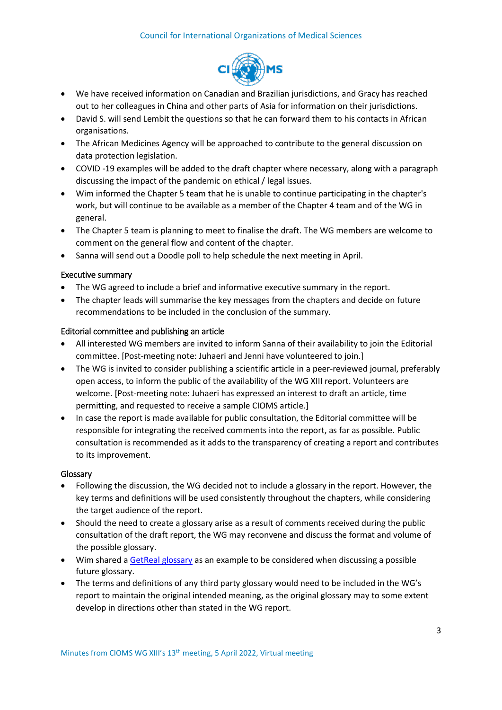

- We have received information on Canadian and Brazilian jurisdictions, and Gracy has reached out to her colleagues in China and other parts of Asia for information on their jurisdictions.
- David S. will send Lembit the questions so that he can forward them to his contacts in African organisations.
- The African Medicines Agency will be approached to contribute to the general discussion on data protection legislation.
- COVID -19 examples will be added to the draft chapter where necessary, along with a paragraph discussing the impact of the pandemic on ethical / legal issues.
- Wim informed the Chapter 5 team that he is unable to continue participating in the chapter's work, but will continue to be available as a member of the Chapter 4 team and of the WG in general.
- The Chapter 5 team is planning to meet to finalise the draft. The WG members are welcome to comment on the general flow and content of the chapter.
- Sanna will send out a Doodle poll to help schedule the next meeting in April.

### Executive summary

- The WG agreed to include a brief and informative executive summary in the report.
- The chapter leads will summarise the key messages from the chapters and decide on future recommendations to be included in the conclusion of the summary.

### Editorial committee and publishing an article

- All interested WG members are invited to inform Sanna of their availability to join the Editorial committee. [Post-meeting note: Juhaeri and Jenni have volunteered to join.]
- The WG is invited to consider publishing a scientific article in a peer-reviewed journal, preferably open access, to inform the public of the availability of the WG XIII report. Volunteers are welcome. [Post-meeting note: Juhaeri has expressed an interest to draft an article, time permitting, and requested to receive a sample CIOMS article.]
- In case the report is made available for public consultation, the Editorial committee will be responsible for integrating the received comments into the report, as far as possible. Public consultation is recommended as it adds to the transparency of creating a report and contributes to its improvement.

#### Glossary

- Following the discussion, the WG decided not to include a glossary in the report. However, the key terms and definitions will be used consistently throughout the chapters, while considering the target audience of the report.
- Should the need to create a glossary arise as a result of comments received during the public consultation of the draft report, the WG may reconvene and discuss the format and volume of the possible glossary.
- Wim shared a [GetReal glossary](https://www.imi-getreal.eu/Portals/1/Documents/01%20deliverables/D1.3%20-%20Revised%20GetReal%20glossary%20-%20FINAL%20updated%20version_25Oct16_webversion.pdf) as an example to be considered when discussing a possible future glossary.
- The terms and definitions of any third party glossary would need to be included in the WG's report to maintain the original intended meaning, as the original glossary may to some extent develop in directions other than stated in the WG report.